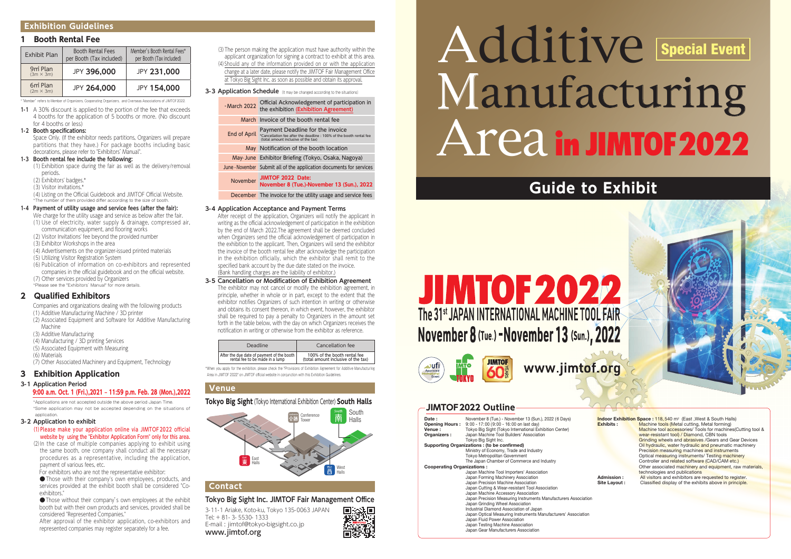#### **1 Booth Rental Fee**

| Exhibit Plan                                         | <b>Booth Rental Fees</b><br>per Booth (Tax included) | Member's Booth Rental Fees*<br>per Booth (Tax included) |
|------------------------------------------------------|------------------------------------------------------|---------------------------------------------------------|
| 9 <sub>m</sub> <sup>2</sup> Plan<br>$(3m \times 3m)$ | JPY 396,000                                          | JPY 231,000                                             |
| 6 <sub>m</sub> <sup>2</sup> Plan<br>$(2m \times 3m)$ | JPY 264,000                                          | <b>JPY 154,000</b>                                      |

Space Only. (If the exhibitor needs partitions, Organizers will prepare partitions that they have.) For package booths including basic decorations, please refer to "Exhibitors' Manual".

\*"Member" refers to Member of Organizers, Cooperating Organizers, and Overseas Associations of JIMTOF2022.

**1-1** A 30% discount is applied to the portion of the fee that exceeds 4 booths for the application of 5 booths or more. (No discount for 4 booths or less)

#### **1-2 Booth specifications:**

#### **1-3 Booth rental fee include the following:**

- (1) Exhibition space during the fair as well as the delivery/removal periods.
- (2) Exhibitors' badges.\*
- (3) Visitor invitations.\*

- We charge for the utility usage and service as below after the fair. (1) Use of electricity, water supply & drainage, compressed air, communication equipment, and flooring works
- (2) Visitor Invitations' fee beyond the provided number
- (3) Exhibitor Workshops in the area
- (4) Advertisements on the organizer-issued printed materials
- (5) Utilizing Visitor Registration System
- (6) Publication of information on co-exhibitors and represented
- companies in the official guidebook and on the official website. (7) Other services provided by Organizers
- \*Please see the "Exhibitors' Manual" for more details.

(4) Listing on the Official Guidebook and JIMTOF Official Website. \*The number of them provided differ according to the size of booth.

#### **1-4 Payment of utility usage and service fees (after the fair):**

\*Applications are not accepted outside the above period Japan Time. \*Some application may not be accepted depending on the situations of application

#### **2 Qualified Exhibitors**

Companies and organizations dealing with the following products (1) Additive Manufacturing Machine / 3D printer

- (2) Associated Equipment and Software for Additive Manufacturing Machine
- (3) Additive Manufacturing
- (4) Manufacturing / 3D printing Services
- (5) Associated Equipment with Measuring
- (6) Materials
- (7) Other Associated Machinery and Equipment, Technology

#### **3 Exhibition Application**

#### **3-1 Application Period**

#### 9:00 a.m. Oct. 1 (Fri.),2021 – 11:59 p.m. Feb. 28 (Mon.),2022

#### **3-2 Application to exhibit**

- (1)Please make your application online via JIMTOF2022 official website by using the "Exhibitor Application Form" only for this area.
- (2)In the case of multiple companies applying to exhibit using the same booth, one company shall conduct all the necessary procedures as a representative, including the application, payment of various fees, etc.
- For exhibitors who are not the representative exhibitor:

●Those with their company's own employees, products, and services provided at the exhibit booth shall be considered "Coexhibitors."

●Those without their company's own employees at the exhibit booth but with their own products and services, provided shall be considered "Represented Companies."

After approval of the exhibitor application, co-exhibitors and represented companies may register separately for a fee.

(3)The person making the application must have authority within the applicant organization for signing a contract to exhibit at this area. (4)Should any of the information provided on or with the application change at a later date, please notify the JIMTOF Fair Management Office at Tokyo Big Sight Inc. as soon as possible and obtain its approval.

**3-3 Application Schedule** (It may be changed according to the situations)

|                                              | - March 2022 | Official Acknowledgement of participation in<br>the exhibition (Exhibition Agreement)                                                                       |
|----------------------------------------------|--------------|-------------------------------------------------------------------------------------------------------------------------------------------------------------|
|                                              |              | March Invoice of the booth rental fee                                                                                                                       |
|                                              |              | Payment Deadline for the invoice<br>End of April *Cancellation fee after the deadline : 100% of the booth rental fee<br>(total amount inclusive of the tax) |
|                                              |              | May Notification of the booth location                                                                                                                      |
|                                              |              | May June Exhibitor Briefing (Tokyo, Osaka, Nagoya)                                                                                                          |
|                                              |              | June - November Submit all of the application documents for services                                                                                        |
|                                              | November     | JIMTOF 2022 Date:<br>November 8 (Tue.)-November 13 (Sun.), 2022                                                                                             |
|                                              |              | December The invoice for the utility usage and service fees                                                                                                 |
| 3-4 Application Acceptance and Payment Terms |              |                                                                                                                                                             |

After receipt of the application, Organizers will notify the applicant in writing as the official acknowledgement of participation in the exhibition by the end of March 2022.The agreement shall be deemed concluded when Organizers send the official acknowledgement of participation in the exhibition to the applicant. Then, Organizers will send the exhibitor the invoice of the booth rental fee after acknowledge the participation in the exhibition officially, which the exhibitor shall remit to the specified bank account by the due date stated on the invoice. (Bank handling charges are the liability of exhibitor.)

#### **3-5 Cancellation or Modification of Exhibition Agreement**

The exhibitor may not cancel or modify the exhibition agreement, in principle, whether in whole or in part, except to the extent that the exhibitor notifies Organizers of such intention in writing or otherwise and obtains its consent thereon, in which event, however, the exhibitor shall be required to pay a penalty to Organizers in the amount set forth in the table below, with the day on which Organizers receives the notification in writing or otherwise from the exhibitor as reference.

| Deadline                                                                   | Cancellation fee                                                    |
|----------------------------------------------------------------------------|---------------------------------------------------------------------|
| After the due date of payment of the booth rental fee to be made in a lump | 100% of the booth rental fee<br>(total amount inclusive of the tax) |

\*When you apply for the exhibition, please check the "Provisions of Exhibition Agreement for Additive Manufacturing Area in JIMTOF 2022" on JIMTOF official website in conjunction with this Exhibition Guidelines.

#### **Exhibition Guidelines**

#### **Venue**

#### **Tokyo Big Sight** (Tokyo International Exhibition Center) **South Halls**

#### **Contact**

#### **Tokyo Big Sight Inc. JIMTOF Fair Management Office**

3-11-1 Ariake, Koto-ku, Tokyo 135-0063 JAPAN Tel: + 81- 3- 5530- 1333 E-mail : jimtof@tokyo-bigsight.co.jp www.jimtof.org

## **Guide to Exhibit**

## **JIMTOF2022** The 31<sup>st</sup> JAPAN INTERNATIONAL MACHINE TOOL FAIR November 8 (Tue.) - November 13 (Sun.), 2022





# Additive Manufacturing Area in JIMT0F2022 Special Event



#### **JIMTOF2022 Outline**

| Date:<br><b>Opening Hours :</b>             | November 8 (Tue.) - November 13 (Sun.), 2022 (6 Days)<br>9:00 - 17:00 (9:00 - 16:00 on last day)    |  |  |  |
|---------------------------------------------|-----------------------------------------------------------------------------------------------------|--|--|--|
| <b>Venue :</b>                              | Tokyo Big Sight (Tokyo International Exhibition Center)                                             |  |  |  |
|                                             | Japan Machine Tool Builders' Association                                                            |  |  |  |
| Organizers :                                |                                                                                                     |  |  |  |
|                                             | Tokyo Big Sight Inc.                                                                                |  |  |  |
| Supporting Organizations: (to be confirmed) |                                                                                                     |  |  |  |
|                                             | Ministry of Economy, Trade and Industry                                                             |  |  |  |
|                                             | Tokyo Metropolitan Government                                                                       |  |  |  |
|                                             | The Japan Chamber of Commerce and Industry                                                          |  |  |  |
|                                             | <b>Cooperating Organizations:</b>                                                                   |  |  |  |
|                                             | Japan Machine Tool Importers' Association                                                           |  |  |  |
|                                             | Japan Forming Machinery Association                                                                 |  |  |  |
|                                             | Japan Precision Machine Association                                                                 |  |  |  |
|                                             | Japan Cutting & Wear-resistant Tool Association                                                     |  |  |  |
|                                             | Japan Machine Accessory Association                                                                 |  |  |  |
|                                             | Japan Precision Measuring Instruments Manufacturers Association<br>Japan Grinding Wheel Association |  |  |  |
|                                             | Industrial Diamond Association of Japan                                                             |  |  |  |
|                                             | Japan Optical Measuring Instruments Manufacturers' Association<br>Japan Fluid Power Association     |  |  |  |
|                                             | Japan Testing Machine Association                                                                   |  |  |  |
|                                             | Japan Gear Manufacturers Association                                                                |  |  |  |
|                                             |                                                                                                     |  |  |  |



**Indoor Exhibition Space : 118,540 m<sup>2</sup> (East, West & South Halls) Machine tools (Metal cutting, Metal forming)** Machine tool accessories/ Tools for machines(Cutting tool & wear-resistant tool) / Diamond, CBN tools Grinding wheels and abrasives /Gears and Gear Devices Oil hydraulic, water hydraulic and pneumatic machinery Precision measuring machines and instruments Optical measuring instruments/ Testing machinery Controller and related software (CAD/CAM etc.) Other associated machinery and equipment, raw materials technologies and publications **Admission :** All visitors and exhibitors are requested to register.<br>**Site Lavout :** Classified display of the exhibits above in principle Classified display of the exhibits above in principle.